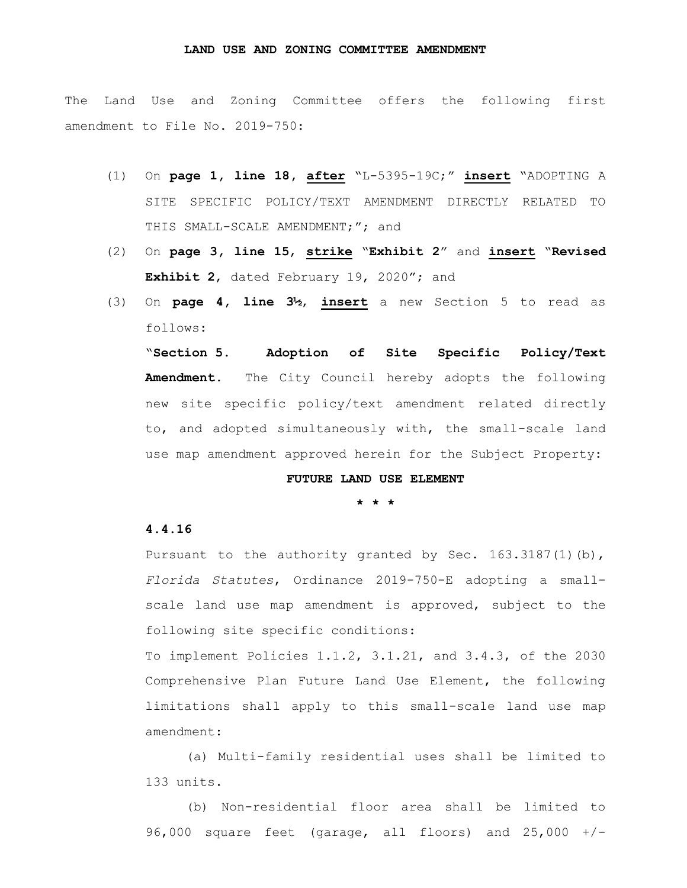## **LAND USE AND ZONING COMMITTEE AMENDMENT**

The Land Use and Zoning Committee offers the following first amendment to File No. 2019-750:

- (1) On **page 1, line 18, after** "L-5395-19C;" **insert** "ADOPTING A SITE SPECIFIC POLICY/TEXT AMENDMENT DIRECTLY RELATED TO THIS SMALL-SCALE AMENDMENT;"; and
- (2) On **page 3, line 15**, **strike** "**Exhibit 2**" and **insert** "**Revised Exhibit 2**, dated February 19, 2020"; and
- (3) On **page 4, line 3½**, **insert** a new Section 5 to read as follows:

"**Section 5. Adoption of Site Specific Policy/Text Amendment.** The City Council hereby adopts the following new site specific policy/text amendment related directly to, and adopted simultaneously with, the small-scale land use map amendment approved herein for the Subject Property:

## **FUTURE LAND USE ELEMENT**

**\* \* \***

## **4.4.16**

Pursuant to the authority granted by Sec. 163.3187(1)(b), *Florida Statutes*, Ordinance 2019-750-E adopting a smallscale land use map amendment is approved, subject to the following site specific conditions:

To implement Policies 1.1.2, 3.1.21, and 3.4.3, of the 2030 Comprehensive Plan Future Land Use Element, the following limitations shall apply to this small-scale land use map amendment:

(a) Multi-family residential uses shall be limited to 133 units.

(b) Non-residential floor area shall be limited to 96,000 square feet (garage, all floors) and 25,000 +/-